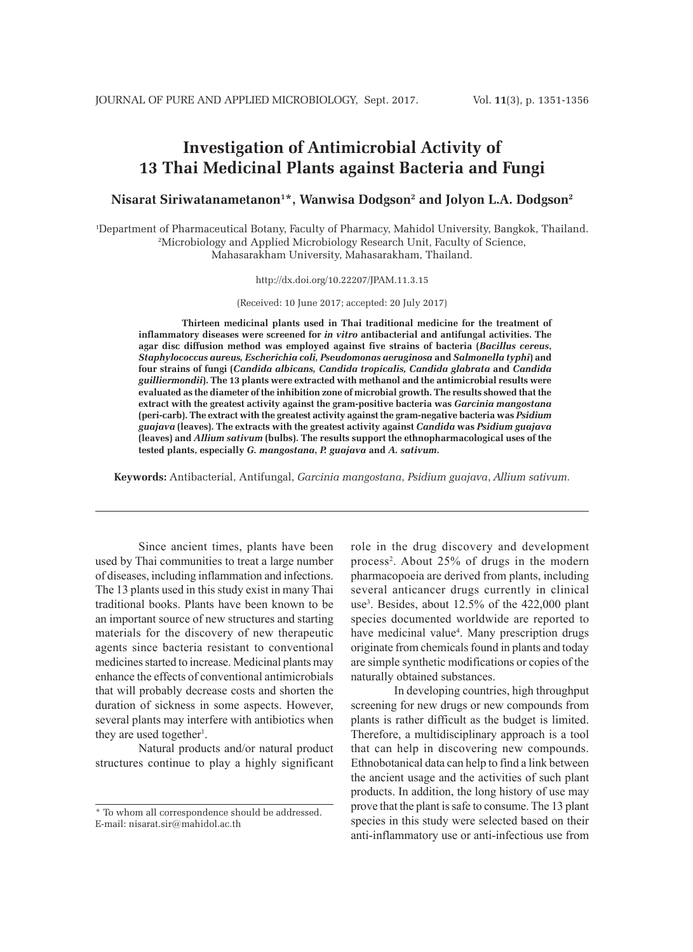# **Investigation of Antimicrobial Activity of 13 Thai Medicinal Plants against Bacteria and Fungi**

**Nisarat Siriwatanametanon1 \*, Wanwisa Dodgson2 and Jolyon L.A. Dodgson2**

1 Department of Pharmaceutical Botany, Faculty of Pharmacy, Mahidol University, Bangkok, Thailand. 2 Microbiology and Applied Microbiology Research Unit, Faculty of Science, Mahasarakham University, Mahasarakham, Thailand.

http://dx.doi.org/10.22207/JPAM.11.3.15

(Received: 10 June 2017; accepted: 20 July 2017)

**Thirteen medicinal plants used in Thai traditional medicine for the treatment of inflammatory diseases were screened for** *in vitro* **antibacterial and antifungal activities. The agar disc diffusion method was employed against five strains of bacteria (***Bacillus cereus***,**  *Staphylococcus aureus, Escherichia coli, Pseudomonas aeruginosa* **and** *Salmonella typhi***) and four strains of fungi (***Candida albicans, Candida tropicalis, Candida glabrata* **and** *Candida guilliermondii***). The 13 plants were extracted with methanol and the antimicrobial results were evaluated as the diameter of the inhibition zone of microbial growth. The results showed that the extract with the greatest activity against the gram-positive bacteria was** *Garcinia mangostana* **(peri-carb). The extract with the greatest activity against the gram-negative bacteria was** *Psidium guajava* **(leaves). The extracts with the greatest activity against** *Candida* **was** *Psidium guajava* **(leaves) and** *Allium sativum* **(bulbs). The results support the ethnopharmacological uses of the tested plants, especially** *G. mangostana***,** *P. guajava* **and** *A. sativum***.** 

**Keywords:** Antibacterial, Antifungal, *Garcinia mangostana*, *Psidium guajava*, *Allium sativum.*

Since ancient times, plants have been used by Thai communities to treat a large number of diseases, including inflammation and infections. The 13 plants used in this study exist in many Thai traditional books. Plants have been known to be an important source of new structures and starting materials for the discovery of new therapeutic agents since bacteria resistant to conventional medicines started to increase. Medicinal plants may enhance the effects of conventional antimicrobials that will probably decrease costs and shorten the duration of sickness in some aspects. However, several plants may interfere with antibiotics when they are used together<sup>1</sup>.

Natural products and/or natural product structures continue to play a highly significant role in the drug discovery and development process2 . About 25% of drugs in the modern pharmacopoeia are derived from plants, including several anticancer drugs currently in clinical use<sup>3</sup>. Besides, about 12.5% of the 422,000 plant species documented worldwide are reported to have medicinal value<sup>4</sup>. Many prescription drugs originate from chemicals found in plants and today are simple synthetic modifications or copies of the naturally obtained substances.

In developing countries, high throughput screening for new drugs or new compounds from plants is rather difficult as the budget is limited. Therefore, a multidisciplinary approach is a tool that can help in discovering new compounds. Ethnobotanical data can help to find a link between the ancient usage and the activities of such plant products. In addition, the long history of use may prove that the plant is safe to consume. The 13 plant species in this study were selected based on their anti-inflammatory use or anti-infectious use from

<sup>\*</sup> To whom all correspondence should be addressed. E-mail: nisarat.sir@mahidol.ac.th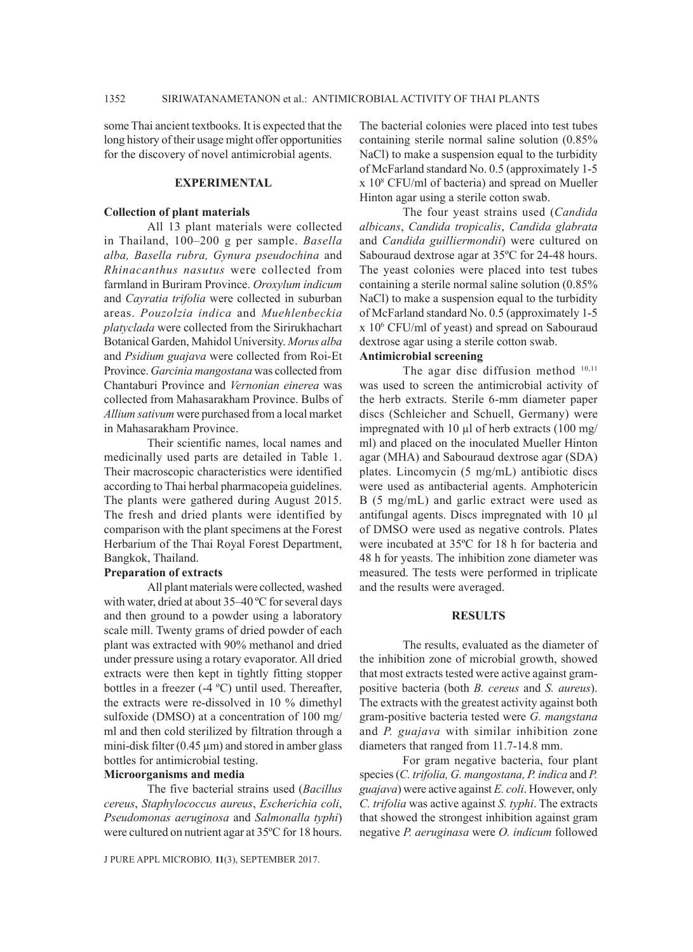some Thai ancient textbooks. It is expected that the long history of their usage might offer opportunities for the discovery of novel antimicrobial agents.

#### **EXPERIMENTAL**

#### **Collection of plant materials**

All 13 plant materials were collected in Thailand, 100–200 g per sample. *Basella alba, Basella rubra, Gynura pseudochina* and *Rhinacanthus nasutus* were collected from farmland in Buriram Province. *Oroxylum indicum* and *Cayratia trifolia* were collected in suburban areas. *Pouzolzia indica* and *Muehlenbeckia platyclada* were collected from the Sirirukhachart Botanical Garden, Mahidol University. *Morus alba* and *Psidium guajava* were collected from Roi-Et Province. *Garcinia mangostana* was collected from Chantaburi Province and *Vernonian einerea* was collected from Mahasarakham Province. Bulbs of *Allium sativum* were purchased from a local market in Mahasarakham Province.

Their scientific names, local names and medicinally used parts are detailed in Table 1. Their macroscopic characteristics were identified according to Thai herbal pharmacopeia guidelines. The plants were gathered during August 2015. The fresh and dried plants were identified by comparison with the plant specimens at the Forest Herbarium of the Thai Royal Forest Department, Bangkok, Thailand.

#### **Preparation of extracts**

All plant materials were collected, washed with water, dried at about 35–40 ºC for several days and then ground to a powder using a laboratory scale mill. Twenty grams of dried powder of each plant was extracted with 90% methanol and dried under pressure using a rotary evaporator. All dried extracts were then kept in tightly fitting stopper bottles in a freezer (-4 ºC) until used. Thereafter, the extracts were re-dissolved in 10 % dimethyl sulfoxide (DMSO) at a concentration of 100 mg/ ml and then cold sterilized by filtration through a mini-disk filter  $(0.45 \,\mu\text{m})$  and stored in amber glass bottles for antimicrobial testing.

# **Microorganisms and media**

The five bacterial strains used (*Bacillus cereus*, *Staphylococcus aureus*, *Escherichia coli*, *Pseudomonas aeruginosa* and *Salmonalla typhi*) were cultured on nutrient agar at 35ºC for 18 hours.

J PURE APPL MICROBIO*,* **11**(3), SEPTEMBER 2017.

The bacterial colonies were placed into test tubes containing sterile normal saline solution (0.85% NaCl) to make a suspension equal to the turbidity of McFarland standard No. 0.5 (approximately 1-5 x 108 CFU/ml of bacteria) and spread on Mueller Hinton agar using a sterile cotton swab.

The four yeast strains used (*Candida albicans*, *Candida tropicalis*, *Candida glabrata*  and *Candida guilliermondii*) were cultured on Sabouraud dextrose agar at 35ºC for 24-48 hours. The yeast colonies were placed into test tubes containing a sterile normal saline solution (0.85% NaCl) to make a suspension equal to the turbidity of McFarland standard No. 0.5 (approximately 1-5 x 106 CFU/ml of yeast) and spread on Sabouraud dextrose agar using a sterile cotton swab.

# **Antimicrobial screening**

The agar disc diffusion method  $10,11$ was used to screen the antimicrobial activity of the herb extracts. Sterile 6-mm diameter paper discs (Schleicher and Schuell, Germany) were impregnated with 10 µl of herb extracts (100 mg/ ml) and placed on the inoculated Mueller Hinton agar (MHA) and Sabouraud dextrose agar (SDA) plates. Lincomycin (5 mg/mL) antibiotic discs were used as antibacterial agents. Amphotericin B (5 mg/mL) and garlic extract were used as antifungal agents. Discs impregnated with 10 µl of DMSO were used as negative controls. Plates were incubated at 35ºC for 18 h for bacteria and 48 h for yeasts. The inhibition zone diameter was measured. The tests were performed in triplicate and the results were averaged.

## **RESULTS**

The results, evaluated as the diameter of the inhibition zone of microbial growth, showed that most extracts tested were active against grampositive bacteria (both *B. cereus* and *S. aureus*). The extracts with the greatest activity against both gram-positive bacteria tested were *G. mangstana* and *P. guajava* with similar inhibition zone diameters that ranged from 11.7-14.8 mm.

For gram negative bacteria, four plant species (*C. trifolia, G. mangostana, P. indica* and *P. guajava*) were active against *E. coli*. However, only *C. trifolia* was active against *S. typhi*. The extracts that showed the strongest inhibition against gram negative *P. aeruginasa* were *O. indicum* followed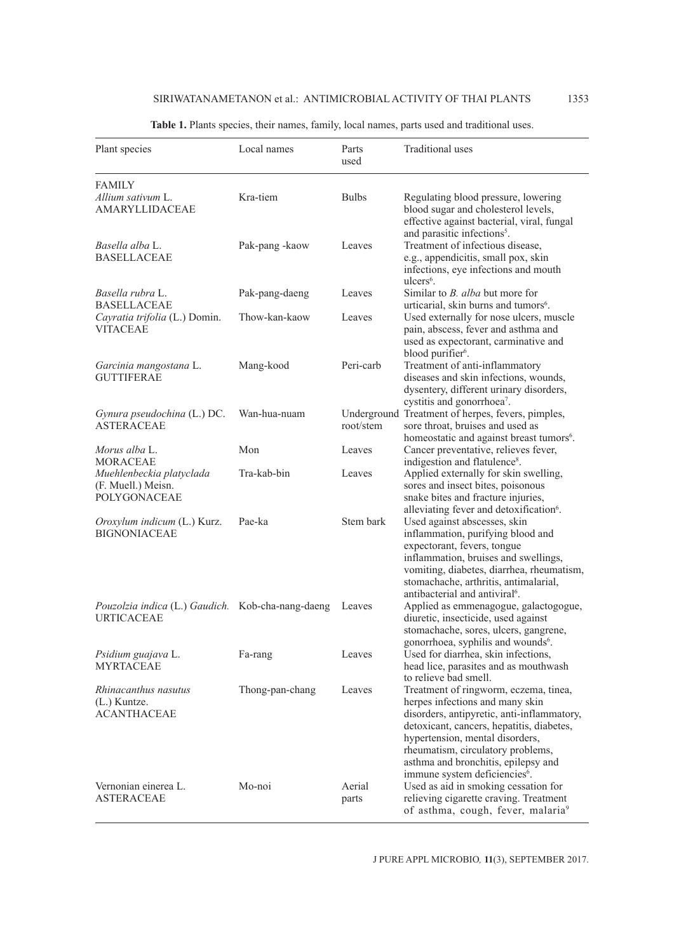| Plant species                                                                         | Local names     | Parts<br>used   | <b>Traditional</b> uses                                                                                                                                                                                                                                                                                                         |
|---------------------------------------------------------------------------------------|-----------------|-----------------|---------------------------------------------------------------------------------------------------------------------------------------------------------------------------------------------------------------------------------------------------------------------------------------------------------------------------------|
| <b>FAMILY</b>                                                                         |                 |                 |                                                                                                                                                                                                                                                                                                                                 |
| Allium sativum L.<br><b>AMARYLLIDACEAE</b>                                            | Kra-tiem        | <b>Bulbs</b>    | Regulating blood pressure, lowering<br>blood sugar and cholesterol levels,<br>effective against bacterial, viral, fungal                                                                                                                                                                                                        |
| Basella alba L.<br><b>BASELLACEAE</b>                                                 | Pak-pang -kaow  | Leaves          | and parasitic infections <sup>5</sup> .<br>Treatment of infectious disease,<br>e.g., appendicitis, small pox, skin<br>infections, eye infections and mouth<br>$ulcers6$ .                                                                                                                                                       |
| Basella rubra L.<br><b>BASELLACEAE</b>                                                | Pak-pang-daeng  | Leaves          | Similar to <i>B. alba</i> but more for<br>urticarial, skin burns and tumors <sup>6</sup> .                                                                                                                                                                                                                                      |
| Cayratia trifolia (L.) Domin.<br><b>VITACEAE</b>                                      | Thow-kan-kaow   | Leaves          | Used externally for nose ulcers, muscle<br>pain, abscess, fever and asthma and<br>used as expectorant, carminative and<br>blood purifier <sup>6</sup> .                                                                                                                                                                         |
| Garcinia mangostana L.<br><b>GUTTIFERAE</b>                                           | Mang-kood       | Peri-carb       | Treatment of anti-inflammatory<br>diseases and skin infections, wounds,<br>dysentery, different urinary disorders,<br>cystitis and gonorrhoea <sup>7</sup> .                                                                                                                                                                    |
| Gynura pseudochina (L.) DC.<br><b>ASTERACEAE</b>                                      | Wan-hua-nuam    | root/stem       | Underground Treatment of herpes, fevers, pimples,<br>sore throat, bruises and used as<br>homeostatic and against breast tumors <sup>6</sup> .                                                                                                                                                                                   |
| Morus alba L.<br><b>MORACEAE</b>                                                      | Mon             | Leaves          | Cancer preventative, relieves fever,<br>indigestion and flatulence <sup>8</sup> .                                                                                                                                                                                                                                               |
| Muehlenbeckia platyclada<br>(F. Muell.) Meisn.<br>POLYGONACEAE                        | Tra-kab-bin     | Leaves          | Applied externally for skin swelling,<br>sores and insect bites, poisonous<br>snake bites and fracture injuries,<br>alleviating fever and detoxification <sup>6</sup> .                                                                                                                                                         |
| Oroxylum indicum (L.) Kurz.<br><b>BIGNONIACEAE</b>                                    | Pae-ka          | Stem bark       | Used against abscesses, skin<br>inflammation, purifying blood and<br>expectorant, fevers, tongue<br>inflammation, bruises and swellings,<br>vomiting, diabetes, diarrhea, rheumatism,<br>stomachache, arthritis, antimalarial,<br>antibacterial and antiviral <sup>6</sup> .                                                    |
| <i>Pouzolzia indica</i> (L.) <i>Gaudich</i> . Kob-cha-nang-daeng<br><b>URTICACEAE</b> |                 | Leaves          | Applied as emmenagogue, galactogogue,<br>diuretic, insecticide, used against<br>stomachache, sores, ulcers, gangrene,<br>gonorrhoea, syphilis and wounds <sup>6</sup> .                                                                                                                                                         |
| Psidium guajava L.<br>MYRTACEAE                                                       | Fa-rang         | Leaves          | Used for diarrhea, skin infections,<br>head lice, parasites and as mouthwash<br>to relieve bad smell.                                                                                                                                                                                                                           |
| Rhinacanthus nasutus<br>$(L)$ Kuntze.<br><b>ACANTHACEAE</b>                           | Thong-pan-chang | Leaves          | Treatment of ringworm, eczema, tinea,<br>herpes infections and many skin<br>disorders, antipyretic, anti-inflammatory,<br>detoxicant, cancers, hepatitis, diabetes,<br>hypertension, mental disorders,<br>rheumatism, circulatory problems,<br>asthma and bronchitis, epilepsy and<br>immune system deficiencies <sup>6</sup> . |
| Vernonian einerea L.<br><b>ASTERACEAE</b>                                             | Mo-noi          | Aerial<br>parts | Used as aid in smoking cessation for<br>relieving cigarette craving. Treatment<br>of asthma, cough, fever, malaria <sup>9</sup>                                                                                                                                                                                                 |

# **Table 1.** Plants species, their names, family, local names, parts used and traditional uses.

J PURE APPL MICROBIO*,* **11**(3), SEPTEMBER 2017.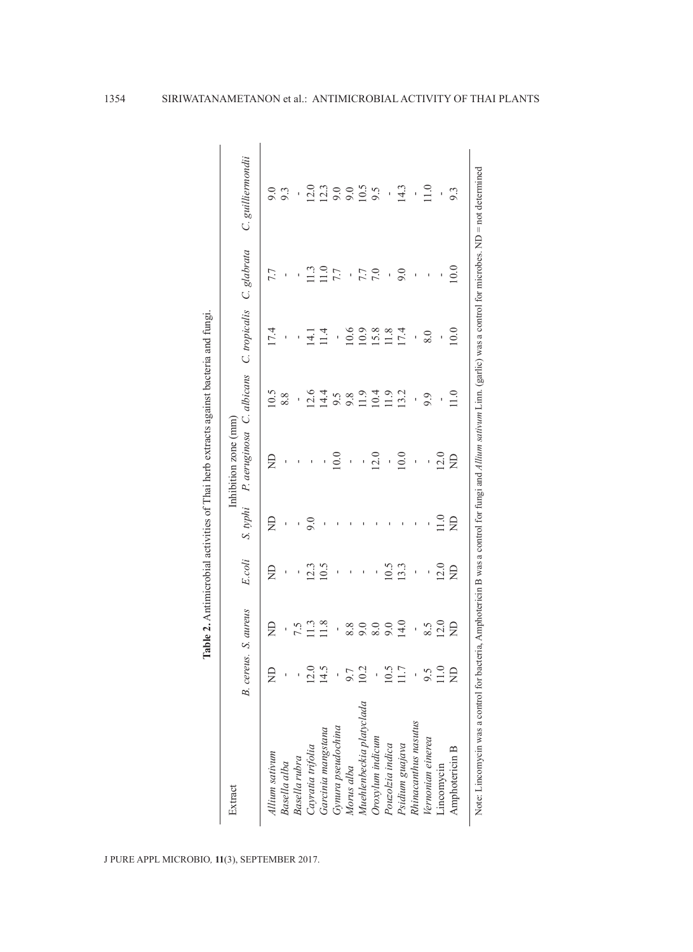| Extract                  |                    |                      |                          |      | Inhibition zone (mm)                             |                          |               |                |                   |
|--------------------------|--------------------|----------------------|--------------------------|------|--------------------------------------------------|--------------------------|---------------|----------------|-------------------|
|                          |                    | B. cereus. S. aureus | E.coli                   |      | S. typhi P. aeruginosa C. albicans C. tropicalis |                          |               | C. glabrata    | C. guilliermondii |
| Allium sativum           | £                  | £                    | g                        | £    | £                                                | 10.5                     | 17.4          | 7.7            |                   |
| Basella alba             | ı                  | ĭ.                   | $\bar{1}$                | ï    |                                                  | 8.8                      | $\mathbf{I}$  | $\mathbf{I}$   | 9.3               |
| Basella rubra            | $\mathbf{r}$       |                      | $\bar{\phantom{a}}$      | ı    |                                                  | $\overline{\phantom{a}}$ | I.            | ı,             | ť,                |
| Cayratia trifolia        | $\frac{0.5}{14.5}$ | $7.5$<br>11.3        | 12.3                     | 9.0  |                                                  | 12.6                     | $\frac{1}{4}$ | $\Xi$          | 12.0              |
| Garcinia mangstana       |                    |                      | 10.5                     |      |                                                  | 14.4                     | 11.4          | $\Xi$          | 12.3              |
| Gynura pseudochina       | í,                 | l,                   | $\overline{\phantom{a}}$ |      | 10.0                                             |                          | $\cdot$       | 7.7            |                   |
| Morus alba               |                    |                      |                          |      | $\bar{1}$                                        | $9.802$<br>$-1.9$        | 10.6          | ï              | 0.6               |
| Muehlenbeckia platyclada | 0.7                | 80000                | ı                        |      | í,                                               |                          | 10.9          | 7.7            | 10.5              |
| Oroxylum indicum         | $\overline{1}$     |                      |                          |      | 12.0                                             |                          | 15.8          | 7.0            | 9.5               |
| Pouzolzia indica         | 0.5                |                      | 10.5                     |      | ı                                                | $\frac{10.4}{11.9}$      | 11.8          | $\overline{1}$ | ı                 |
| Psidium guajava          |                    | 14.0                 | 13.3                     |      | 10.0                                             | 13.2                     | 17.4          | 9.0            | 14.3              |
| Rhinacanthus nasutus     |                    | J.                   | $\bar{1}$                |      | ï                                                | $\overline{\phantom{a}}$ | f,            | $\mathbf{I}$   | $\mathbf{I}$      |
| Vernonian einerea        |                    |                      | í.                       |      | ï                                                | 9.9                      | 8.0           | ï              | 11.0              |
| Lincomycin               | $\frac{0.5}{1.0}$  | $\frac{8.5}{12.0}$   | 12.0                     | 11.0 | 12.0                                             |                          |               | I              | í.                |
| Amphotericin B           | g                  | £                    | £                        | g    | £                                                | 1.0                      | 10.0          | 10.0           | 9.3               |

J PURE APPL MICROBIO*,* **11**(3), SEPTEMBER 2017.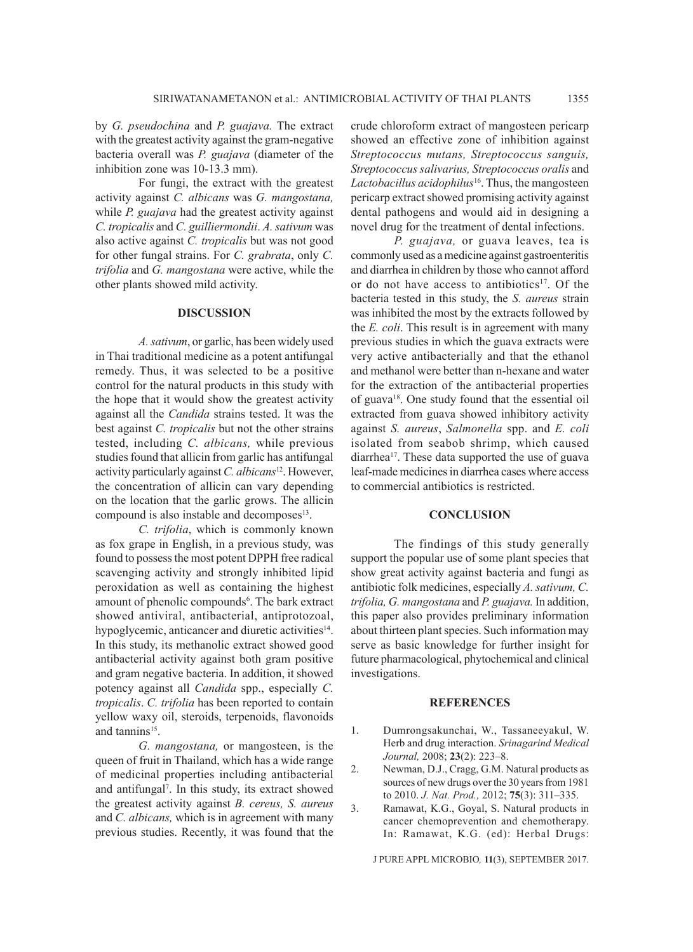by *G. pseudochina* and *P. guajava.* The extract with the greatest activity against the gram-negative bacteria overall was *P. guajava* (diameter of the inhibition zone was 10-13.3 mm).

For fungi, the extract with the greatest activity against *C. albicans* was *G. mangostana,* while *P. guajava* had the greatest activity against *C. tropicalis* and *C. guilliermondii*. *A. sativum* was also active against *C. tropicalis* but was not good for other fungal strains. For *C. grabrata*, only *C. trifolia* and *G. mangostana* were active, while the other plants showed mild activity.

#### **DISCUSSION**

*A. sativum*, or garlic, has been widely used in Thai traditional medicine as a potent antifungal remedy. Thus, it was selected to be a positive control for the natural products in this study with the hope that it would show the greatest activity against all the *Candida* strains tested. It was the best against *C. tropicalis* but not the other strains tested, including *C. albicans,* while previous studies found that allicin from garlic has antifungal activity particularly against *C. albicans*12. However, the concentration of allicin can vary depending on the location that the garlic grows. The allicin compound is also instable and decomposes<sup>13</sup>.

*C. trifolia*, which is commonly known as fox grape in English, in a previous study, was found to possess the most potent DPPH free radical scavenging activity and strongly inhibited lipid peroxidation as well as containing the highest amount of phenolic compounds<sup>6</sup>. The bark extract showed antiviral, antibacterial, antiprotozoal, hypoglycemic, anticancer and diuretic activities<sup>14</sup>. In this study, its methanolic extract showed good antibacterial activity against both gram positive and gram negative bacteria. In addition, it showed potency against all *Candida* spp., especially *C. tropicalis*. *C. trifolia* has been reported to contain yellow waxy oil, steroids, terpenoids, flavonoids and tannins<sup>15</sup>.

*G. mangostana,* or mangosteen, is the queen of fruit in Thailand, which has a wide range of medicinal properties including antibacterial and antifungal7 . In this study, its extract showed the greatest activity against *B. cereus, S. aureus* and *C. albicans,* which is in agreement with many previous studies. Recently, it was found that the

crude chloroform extract of mangosteen pericarp showed an effective zone of inhibition against *Streptococcus mutans, Streptococcus sanguis, Streptococcus salivarius, Streptococcus oralis* and *Lactobacillus acidophilus*16. Thus, the mangosteen pericarp extract showed promising activity against dental pathogens and would aid in designing a novel drug for the treatment of dental infections.

*P. guajava,* or guava leaves, tea is commonly used as a medicine against gastroenteritis and diarrhea in children by those who cannot afford or do not have access to antibiotics<sup>17</sup>. Of the bacteria tested in this study, the *S. aureus* strain was inhibited the most by the extracts followed by the *E. coli*. This result is in agreement with many previous studies in which the guava extracts were very active antibacterially and that the ethanol and methanol were better than n-hexane and water for the extraction of the antibacterial properties of guava18. One study found that the essential oil extracted from guava showed inhibitory activity against *S. aureus*, *Salmonella* spp. and *E. coli* isolated from seabob shrimp, which caused diarrhea<sup>17</sup>. These data supported the use of guava leaf-made medicines in diarrhea cases where access to commercial antibiotics is restricted.

## **CONCLUSION**

The findings of this study generally support the popular use of some plant species that show great activity against bacteria and fungi as antibiotic folk medicines, especially *A. sativum, C. trifolia, G. mangostana* and *P. guajava.* In addition, this paper also provides preliminary information about thirteen plant species. Such information may serve as basic knowledge for further insight for future pharmacological, phytochemical and clinical investigations.

### **REFERENCES**

- 1. Dumrongsakunchai, W., Tassaneeyakul, W. Herb and drug interaction. *Srinagarind Medical Journal,* 2008; **23**(2): 223–8.
- 2. Newman, D.J., Cragg, G.M. Natural products as sources of new drugs over the 30 years from 1981 to 2010. *J. Nat. Prod.,* 2012; **75**(3): 311–335.
- 3. Ramawat, K.G., Goyal, S. Natural products in cancer chemoprevention and chemotherapy. In: Ramawat, K.G. (ed): Herbal Drugs:

J PURE APPL MICROBIO*,* **11**(3), SEPTEMBER 2017.